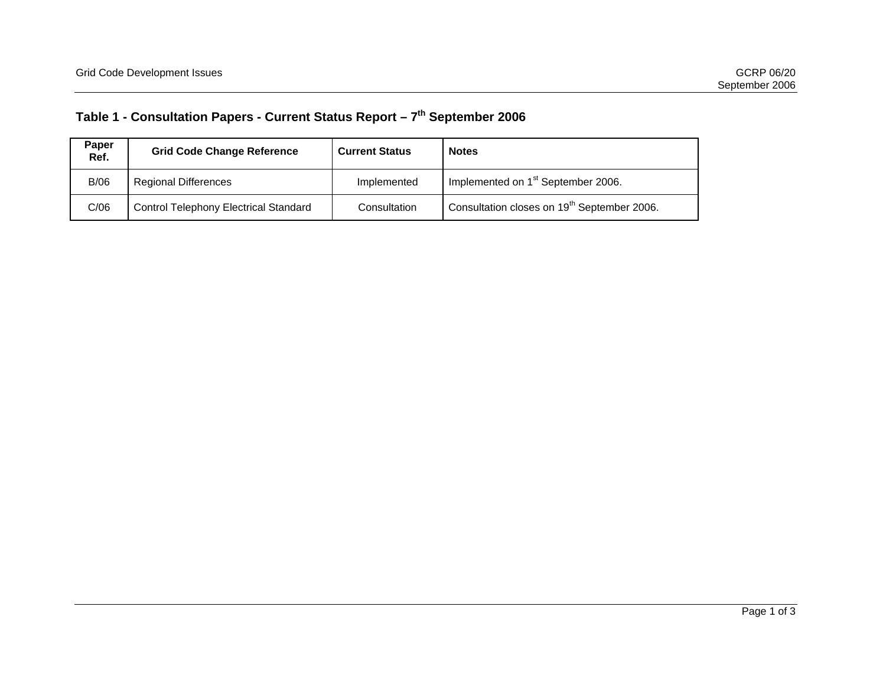## **Table 1 - Consultation Papers - Current Status Report – 7th September 2006**

| Paper<br>Ref. | <b>Grid Code Change Reference</b>            | <b>Current Status</b> | <b>Notes</b>                                            |
|---------------|----------------------------------------------|-----------------------|---------------------------------------------------------|
| B/06          | <b>Regional Differences</b>                  | Implemented           | Implemented on 1 <sup>st</sup> September 2006.          |
| C/06          | <b>Control Telephony Electrical Standard</b> | Consultation          | Consultation closes on 19 <sup>th</sup> September 2006. |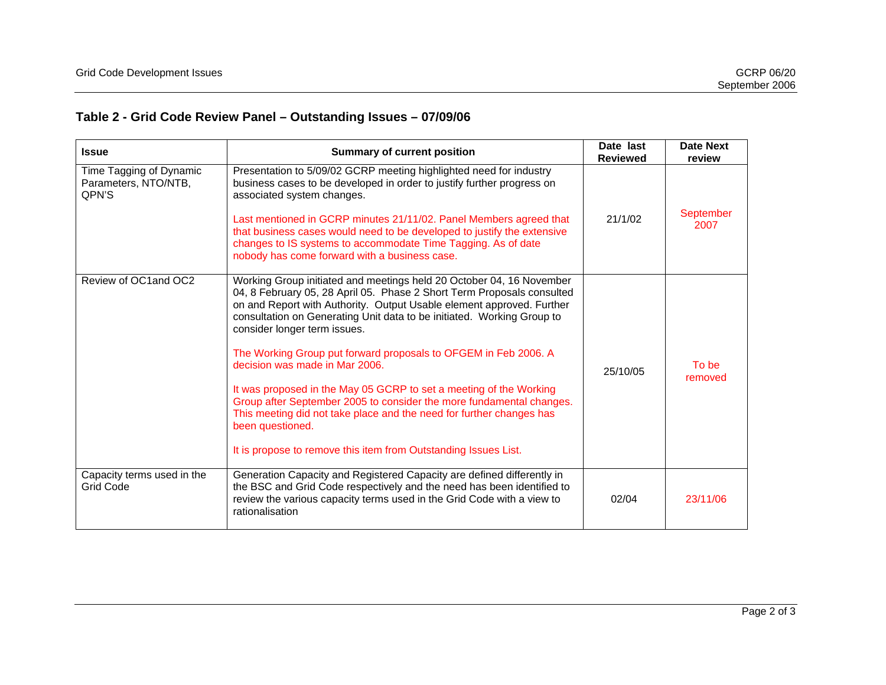## **Table 2 - Grid Code Review Panel – Outstanding Issues – 07/09/06**

| <b>Summary of current position</b><br><b>Issue</b>       |                                                                                                                                                                                                                                                                                                                                                                                                                                                                                                                                                                                                                                                                                                                                                     | Date last<br><b>Reviewed</b> | <b>Date Next</b><br>review |
|----------------------------------------------------------|-----------------------------------------------------------------------------------------------------------------------------------------------------------------------------------------------------------------------------------------------------------------------------------------------------------------------------------------------------------------------------------------------------------------------------------------------------------------------------------------------------------------------------------------------------------------------------------------------------------------------------------------------------------------------------------------------------------------------------------------------------|------------------------------|----------------------------|
| Time Tagging of Dynamic<br>Parameters, NTO/NTB,<br>QPN'S | Presentation to 5/09/02 GCRP meeting highlighted need for industry<br>business cases to be developed in order to justify further progress on<br>associated system changes.<br>Last mentioned in GCRP minutes 21/11/02. Panel Members agreed that<br>that business cases would need to be developed to justify the extensive<br>changes to IS systems to accommodate Time Tagging. As of date<br>nobody has come forward with a business case.                                                                                                                                                                                                                                                                                                       | 21/1/02                      | September<br>2007          |
| Review of OC1 and OC2                                    | Working Group initiated and meetings held 20 October 04, 16 November<br>04, 8 February 05, 28 April 05. Phase 2 Short Term Proposals consulted<br>on and Report with Authority. Output Usable element approved. Further<br>consultation on Generating Unit data to be initiated. Working Group to<br>consider longer term issues.<br>The Working Group put forward proposals to OFGEM in Feb 2006. A<br>decision was made in Mar 2006.<br>It was proposed in the May 05 GCRP to set a meeting of the Working<br>Group after September 2005 to consider the more fundamental changes.<br>This meeting did not take place and the need for further changes has<br>been questioned.<br>It is propose to remove this item from Outstanding Issues List. | 25/10/05                     | To be<br>removed           |
| Capacity terms used in the<br><b>Grid Code</b>           | Generation Capacity and Registered Capacity are defined differently in<br>the BSC and Grid Code respectively and the need has been identified to<br>review the various capacity terms used in the Grid Code with a view to<br>rationalisation                                                                                                                                                                                                                                                                                                                                                                                                                                                                                                       | 02/04                        | 23/11/06                   |